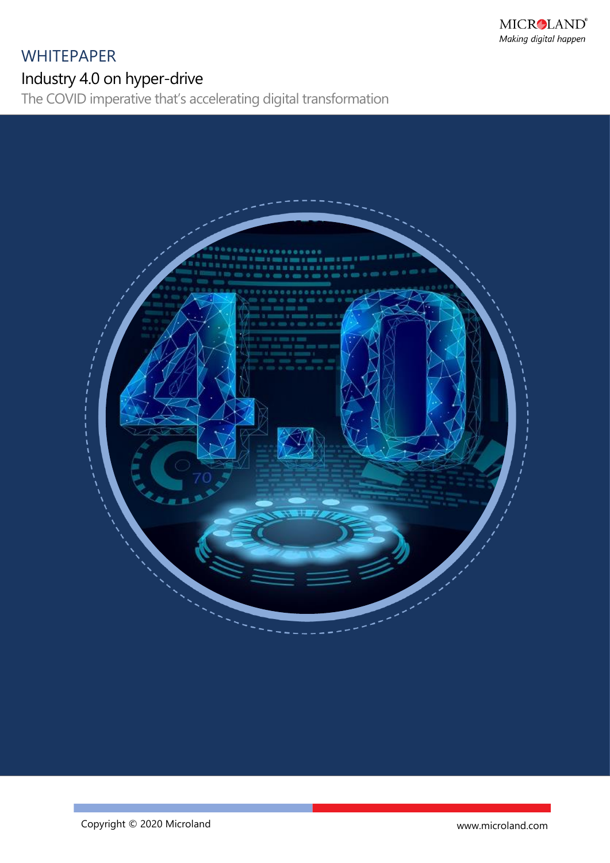# **WHITEPAPER**

Industry 4.0 on hyper-drive

The COVID imperative that's accelerating digital transformation



www.microland.com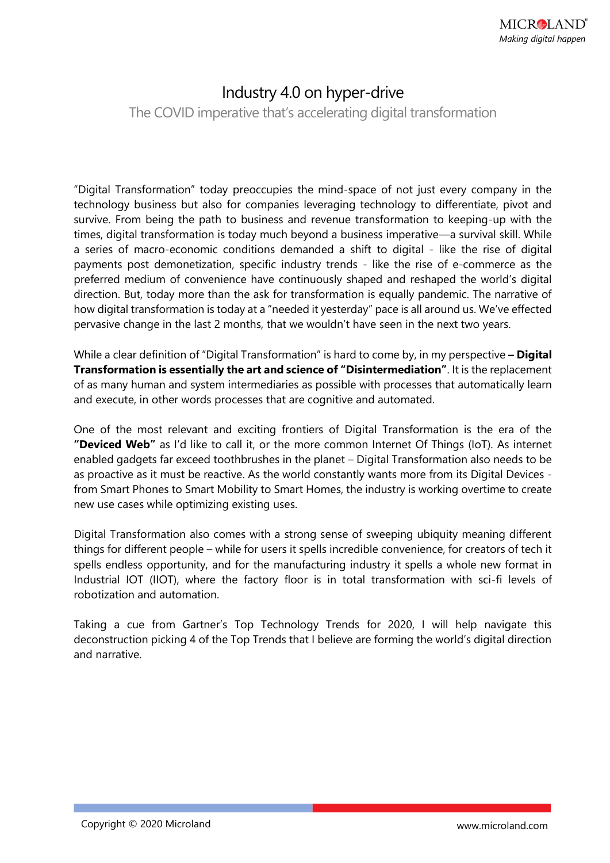## Industry 4.0 on hyper-drive

The COVID imperative that's accelerating digital transformation

"Digital Transformation" today preoccupies the mind-space of not just every company in the technology business but also for companies leveraging technology to differentiate, pivot and survive. From being the path to business and revenue transformation to keeping-up with the times, digital transformation is today much beyond a business imperative—a survival skill. While a series of macro-economic conditions demanded a shift to digital - like the rise of digital payments post demonetization, specific industry trends - like the rise of e-commerce as the preferred medium of convenience have continuously shaped and reshaped the world's digital direction. But, today more than the ask for transformation is equally pandemic. The narrative of how digital transformation is today at a "needed it yesterday" pace is all around us. We've effected pervasive change in the last 2 months, that we wouldn't have seen in the next two years.

While a clear definition of "Digital Transformation" is hard to come by, in my perspective **– Digital Transformation is essentially the art and science of "Disintermediation"**. It is the replacement of as many human and system intermediaries as possible with processes that automatically learn and execute, in other words processes that are cognitive and automated.

One of the most relevant and exciting frontiers of Digital Transformation is the era of the **"Deviced Web"** as I'd like to call it, or the more common Internet Of Things (IoT). As internet enabled gadgets far exceed toothbrushes in the planet – Digital Transformation also needs to be as proactive as it must be reactive. As the world constantly wants more from its Digital Devices from Smart Phones to Smart Mobility to Smart Homes, the industry is working overtime to create new use cases while optimizing existing uses.

Digital Transformation also comes with a strong sense of sweeping ubiquity meaning different things for different people – while for users it spells incredible convenience, for creators of tech it spells endless opportunity, and for the manufacturing industry it spells a whole new format in Industrial IOT (IIOT), where the factory floor is in total transformation with sci-fi levels of robotization and automation.

Taking a cue from Gartner's Top Technology Trends for 2020, I will help navigate this deconstruction picking 4 of the Top Trends that I believe are forming the world's digital direction and narrative.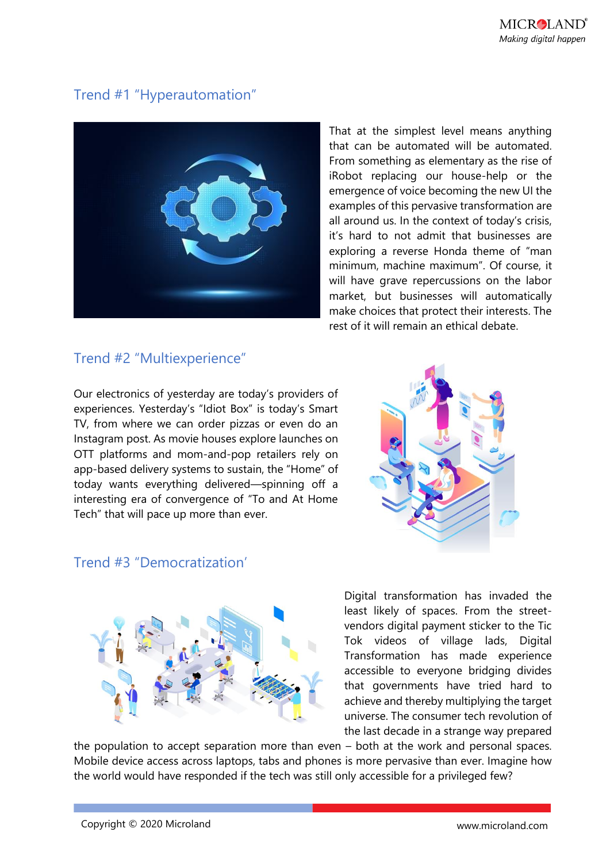## Trend #1 "Hyperautomation"



That at the simplest level means anything that can be automated will be automated. From something as elementary as the rise of iRobot replacing our house-help or the emergence of voice becoming the new UI the examples of this pervasive transformation are all around us. In the context of today's crisis, it's hard to not admit that businesses are exploring a reverse Honda theme of "man minimum, machine maximum". Of course, it will have grave repercussions on the labor market, but businesses will automatically make choices that protect their interests. The rest of it will remain an ethical debate.

## Trend #2 "Multiexperience"

Our electronics of yesterday are today's providers of experiences. Yesterday's "Idiot Box" is today's Smart TV, from where we can order pizzas or even do an Instagram post. As movie houses explore launches on OTT platforms and mom-and-pop retailers rely on app-based delivery systems to sustain, the "Home" of today wants everything delivered—spinning off a interesting era of convergence of "To and At Home Tech" that will pace up more than ever.



### Trend #3 "Democratization'



Digital transformation has invaded the least likely of spaces. From the streetvendors digital payment sticker to the Tic Tok videos of village lads, Digital Transformation has made experience accessible to everyone bridging divides that governments have tried hard to achieve and thereby multiplying the target universe. The consumer tech revolution of the last decade in a strange way prepared

the population to accept separation more than even – both at the work and personal spaces. Mobile device access across laptops, tabs and phones is more pervasive than ever. Imagine how the world would have responded if the tech was still only accessible for a privileged few?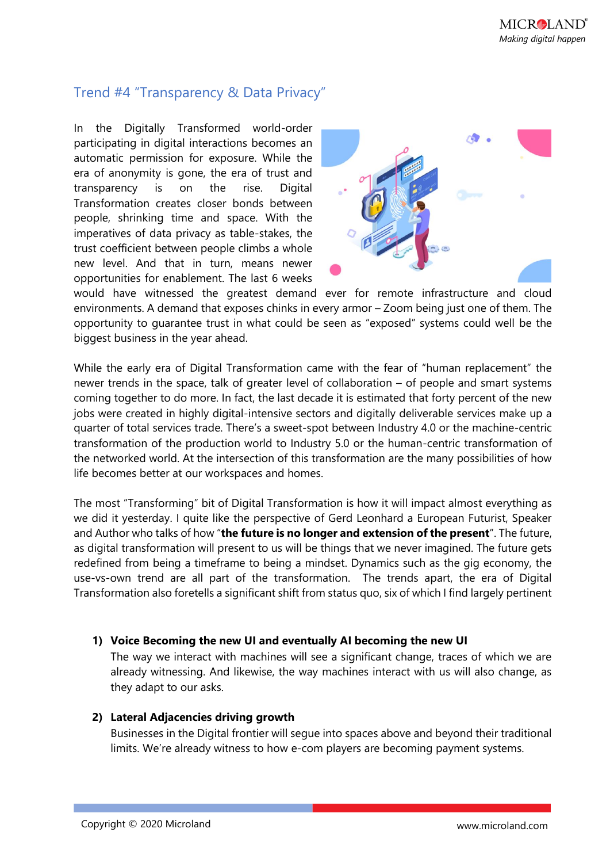## Trend #4 "Transparency & Data Privacy"

In the Digitally Transformed world-order participating in digital interactions becomes an automatic permission for exposure. While the era of anonymity is gone, the era of trust and transparency is on the rise. Digital Transformation creates closer bonds between people, shrinking time and space. With the imperatives of data privacy as table-stakes, the trust coefficient between people climbs a whole new level. And that in turn, means newer opportunities for enablement. The last 6 weeks



would have witnessed the greatest demand ever for remote infrastructure and cloud environments. A demand that exposes chinks in every armor – Zoom being just one of them. The opportunity to guarantee trust in what could be seen as "exposed" systems could well be the biggest business in the year ahead.

While the early era of Digital Transformation came with the fear of "human replacement" the newer trends in the space, talk of greater level of collaboration – of people and smart systems coming together to do more. In fact, the last decade it is estimated that forty percent of the new jobs were created in highly digital-intensive sectors and digitally deliverable services make up a quarter of total services trade. There's a sweet-spot between Industry 4.0 or the machine-centric transformation of the production world to Industry 5.0 or the human-centric transformation of the networked world. At the intersection of this transformation are the many possibilities of how life becomes better at our workspaces and homes.

The most "Transforming" bit of Digital Transformation is how it will impact almost everything as we did it yesterday. I quite like the perspective of Gerd Leonhard a European Futurist, Speaker and Author who talks of how "**the future is no longer and extension of the present**". The future, as digital transformation will present to us will be things that we never imagined. The future gets redefined from being a timeframe to being a mindset. Dynamics such as the gig economy, the use-vs-own trend are all part of the transformation. The trends apart, the era of Digital Transformation also foretells a significant shift from status quo, six of which I find largely pertinent

#### **1) Voice Becoming the new UI and eventually AI becoming the new UI**

The way we interact with machines will see a significant change, traces of which we are already witnessing. And likewise, the way machines interact with us will also change, as they adapt to our asks.

#### **2) Lateral Adjacencies driving growth**

Businesses in the Digital frontier will segue into spaces above and beyond their traditional limits. We're already witness to how e-com players are becoming payment systems.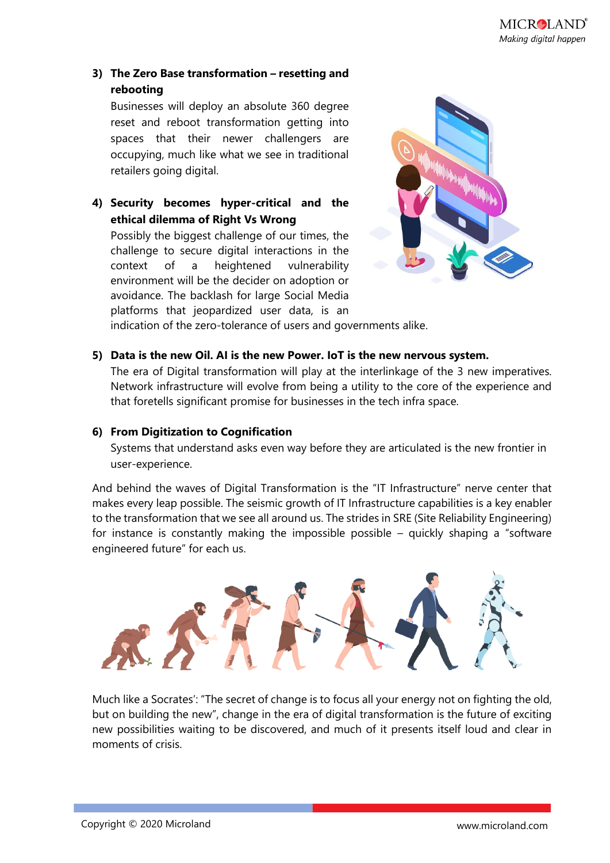#### **3) The Zero Base transformation – resetting and rebooting**

Businesses will deploy an absolute 360 degree reset and reboot transformation getting into spaces that their newer challengers are occupying, much like what we see in traditional retailers going digital.

**4) Security becomes hyper-critical and the ethical dilemma of Right Vs Wrong**

Possibly the biggest challenge of our times, the challenge to secure digital interactions in the context of a heightened vulnerability environment will be the decider on adoption or avoidance. The backlash for large Social Media platforms that jeopardized user data, is an



indication of the zero-tolerance of users and governments alike.

#### **5) Data is the new Oil. AI is the new Power. IoT is the new nervous system.**

The era of Digital transformation will play at the interlinkage of the 3 new imperatives. Network infrastructure will evolve from being a utility to the core of the experience and that foretells significant promise for businesses in the tech infra space.

#### **6) From Digitization to Cognification**

Systems that understand asks even way before they are articulated is the new frontier in user-experience.

And behind the waves of Digital Transformation is the "IT Infrastructure" nerve center that makes every leap possible. The seismic growth of IT Infrastructure capabilities is a key enabler to the transformation that we see all around us. The strides in SRE (Site Reliability Engineering) for instance is constantly making the impossible possible – quickly shaping a "software engineered future" for each us.



Much like a Socrates': "The secret of change is to focus all your energy not on fighting the old, but on building the new", change in the era of digital transformation is the future of exciting new possibilities waiting to be discovered, and much of it presents itself loud and clear in moments of crisis.